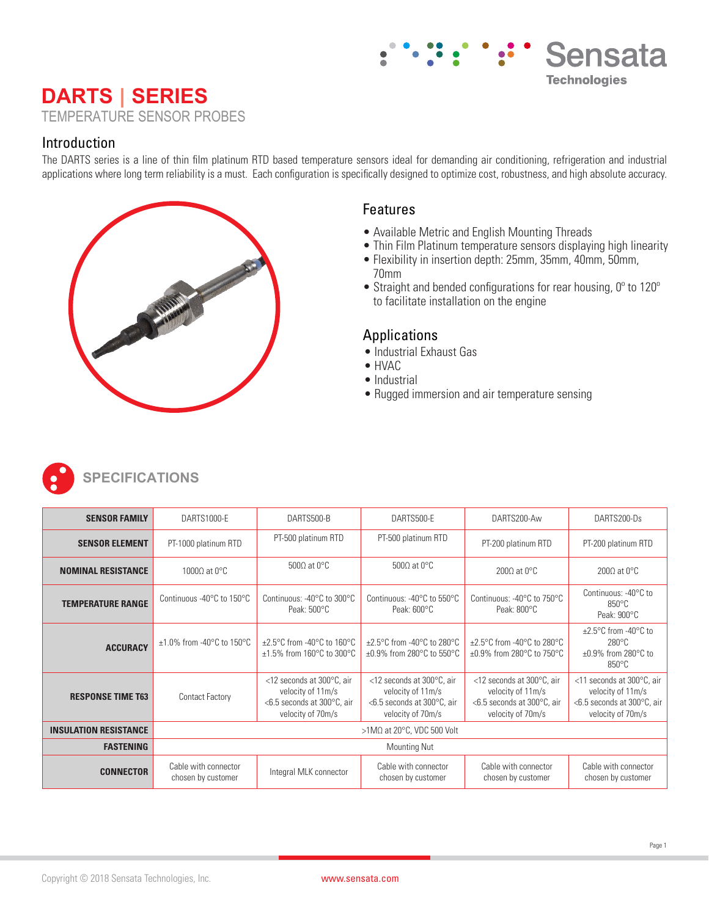# **DARTS | SERIES** TEMPERATURE SENSOR PROBES

### Introduction

The DARTS series is a line of thin film platinum RTD based temperature sensors ideal for demanding air conditioning, refrigeration and industrial applications where long term reliability is a must. Each configuration is specifically designed to optimize cost, robustness, and high absolute accuracy.



# Features

- Available Metric and English Mounting Threads
- Thin Film Platinum temperature sensors displaying high linearity

Sensata

**Technologies** 

- Flexibility in insertion depth: 25mm, 35mm, 40mm, 50mm, 70mm
- Straight and bended configurations for rear housing, 0º to 120º to facilitate installation on the engine

## Applications

- Industrial Exhaust Gas
- HVAC
- Industrial
- Rugged immersion and air temperature sensing



| <b>SENSOR FAMILY</b>         | DARTS1000-E                                      | DARTS500-B                                                                                        | DARTS500-E                                                                                                      | DARTS200-Aw                                                                                                     | DARTS200-Ds                                                                                            |
|------------------------------|--------------------------------------------------|---------------------------------------------------------------------------------------------------|-----------------------------------------------------------------------------------------------------------------|-----------------------------------------------------------------------------------------------------------------|--------------------------------------------------------------------------------------------------------|
| <b>SENSOR ELEMENT</b>        | PT-1000 platinum RTD                             | PT-500 platinum RTD                                                                               | PT-500 platinum RTD                                                                                             | PT-200 platinum RTD                                                                                             | PT-200 platinum RTD                                                                                    |
| <b>NOMINAL RESISTANCE</b>    | 1000Ω at 0 $\rm ^{\circ}$ C                      | 500 $\Omega$ at 0°C                                                                               | 500 $\Omega$ at 0°C                                                                                             | 200 $\Omega$ at 0°C                                                                                             | 200 $\Omega$ at 0°C                                                                                    |
| <b>TEMPERATURE RANGE</b>     | Continuous -40°C to 150°C                        | Continuous: -40°C to 300°C<br>Peak: $500^{\circ}$ C                                               | Continuous: -40°C to 550°C<br>Peak: $600^{\circ}$ C                                                             | Continuous: -40°C to 750°C<br>Peak: $800^{\circ}$ C                                                             | Continuous: -40°C to<br>$850^{\circ}$ C<br>Peak: $900^{\circ}$ C                                       |
| <b>ACCURACY</b>              | $\pm 1.0\%$ from -40°C to 150°C                  | $\pm 2.5^{\circ}$ C from -40 $^{\circ}$ C to 160 $^{\circ}$ C<br>$\pm 1.5\%$ from 160°C to 300°C  | $\pm 2.5^{\circ}$ C from -40 $^{\circ}$ C to 280 $^{\circ}$ C<br>$\pm 0.9\%$ from 280°C to 550°C                | ±2.5°C from -40°C to 280°C<br>$\pm 0.9\%$ from 280°C to 750°C                                                   | $\pm 2.5$ °C from -40°C to<br>$280^\circ C$<br>$\pm 0.9\%$ from 280 $^{\circ}$ C to<br>$850^{\circ}$ C |
| <b>RESPONSE TIME T63</b>     | <b>Contact Factory</b>                           | <12 seconds at 300°C, air<br>velocity of 11m/s<br><6.5 seconds at 300°C, air<br>velocity of 70m/s | $<$ 12 seconds at 300 $^{\circ}$ C, air<br>velocity of 11m/s<br><6.5 seconds at 300°C, air<br>velocity of 70m/s | $<$ 12 seconds at 300 $^{\circ}$ C, air<br>velocity of 11m/s<br><6.5 seconds at 300°C, air<br>velocity of 70m/s | <11 seconds at 300°C, air<br>velocity of 11m/s<br><6.5 seconds at 300°C, air<br>velocity of 70m/s      |
| <b>INSULATION RESISTANCE</b> | $>1$ M $\Omega$ at 20 $^{\circ}$ C, VDC 500 Volt |                                                                                                   |                                                                                                                 |                                                                                                                 |                                                                                                        |
| <b>FASTENING</b>             | <b>Mounting Nut</b>                              |                                                                                                   |                                                                                                                 |                                                                                                                 |                                                                                                        |
| <b>CONNECTOR</b>             | Cable with connector<br>chosen by customer       | Integral MLK connector                                                                            | Cable with connector<br>chosen by customer                                                                      | Cable with connector<br>chosen by customer                                                                      | Cable with connector<br>chosen by customer                                                             |